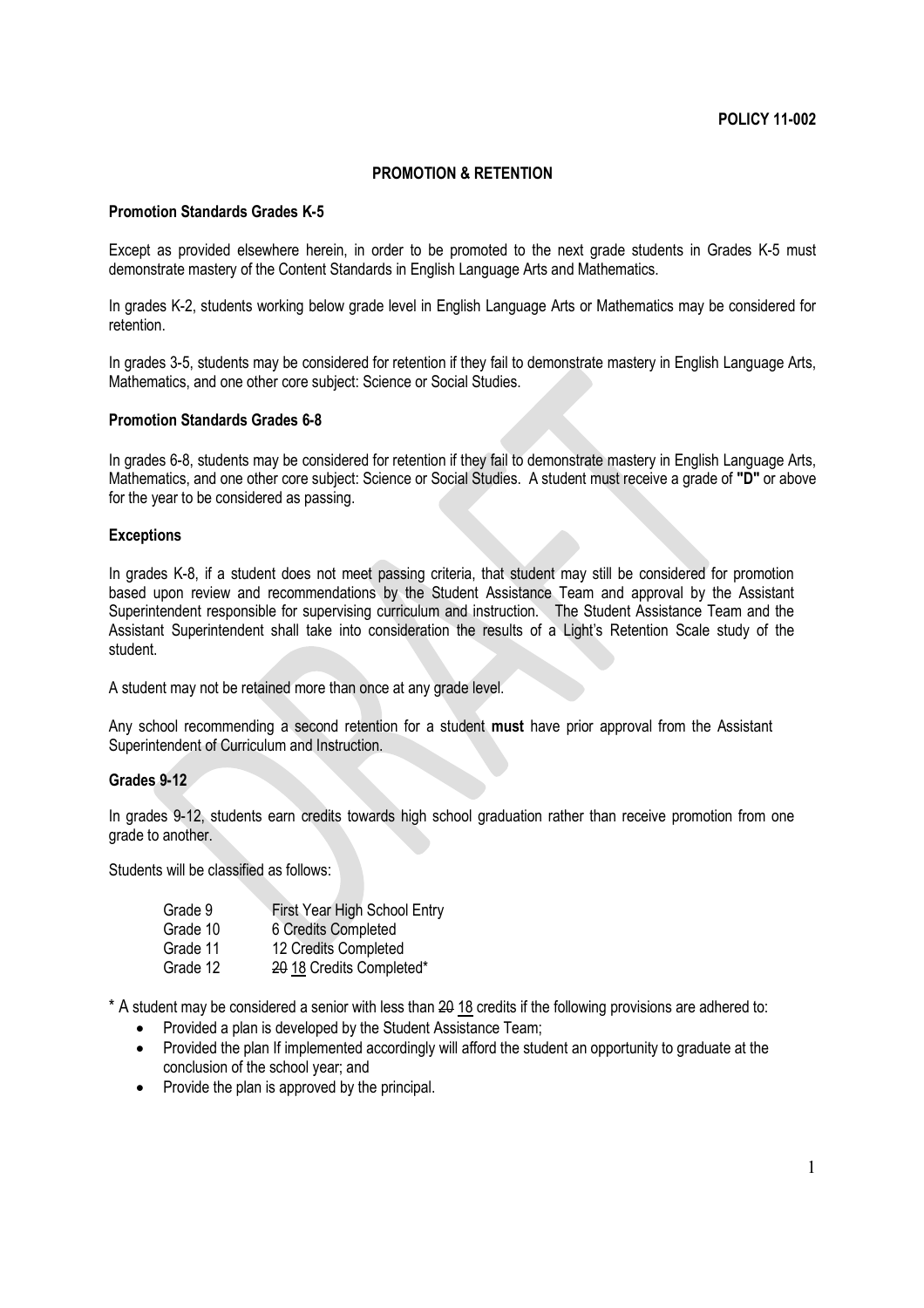# **PROMOTION & RETENTION**

## **Promotion Standards Grades K-5**

Except as provided elsewhere herein, in order to be promoted to the next grade students in Grades K-5 must demonstrate mastery of the Content Standards in English Language Arts and Mathematics.

In grades K-2, students working below grade level in English Language Arts or Mathematics may be considered for retention.

In grades 3-5, students may be considered for retention if they fail to demonstrate mastery in English Language Arts, Mathematics, and one other core subject: Science or Social Studies.

### **Promotion Standards Grades 6-8**

In grades 6-8, students may be considered for retention if they fail to demonstrate mastery in English Language Arts, Mathematics, and one other core subject: Science or Social Studies. A student must receive a grade of **"D"** or above for the year to be considered as passing.

#### **Exceptions**

In grades K-8, if a student does not meet passing criteria, that student may still be considered for promotion based upon review and recommendations by the Student Assistance Team and approval by the Assistant Superintendent responsible for supervising curriculum and instruction. The Student Assistance Team and the Assistant Superintendent shall take into consideration the results of a Light's Retention Scale study of the student.

A student may not be retained more than once at any grade level.

Any school recommending a second retention for a student **must** have prior approval from the Assistant Superintendent of Curriculum and Instruction.

## **Grades 9-12**

In grades 9-12, students earn credits towards high school graduation rather than receive promotion from one grade to another.

Students will be classified as follows:

| Grade 9  | First Year High School Entry |
|----------|------------------------------|
| Grade 10 | 6 Credits Completed          |
| Grade 11 | 12 Credits Completed         |
| Grade 12 | 20 18 Credits Completed*     |

 $*$  A student may be considered a senior with less than  $20$  18 credits if the following provisions are adhered to:

- Provided a plan is developed by the Student Assistance Team;
- Provided the plan If implemented accordingly will afford the student an opportunity to graduate at the conclusion of the school year; and
- Provide the plan is approved by the principal.